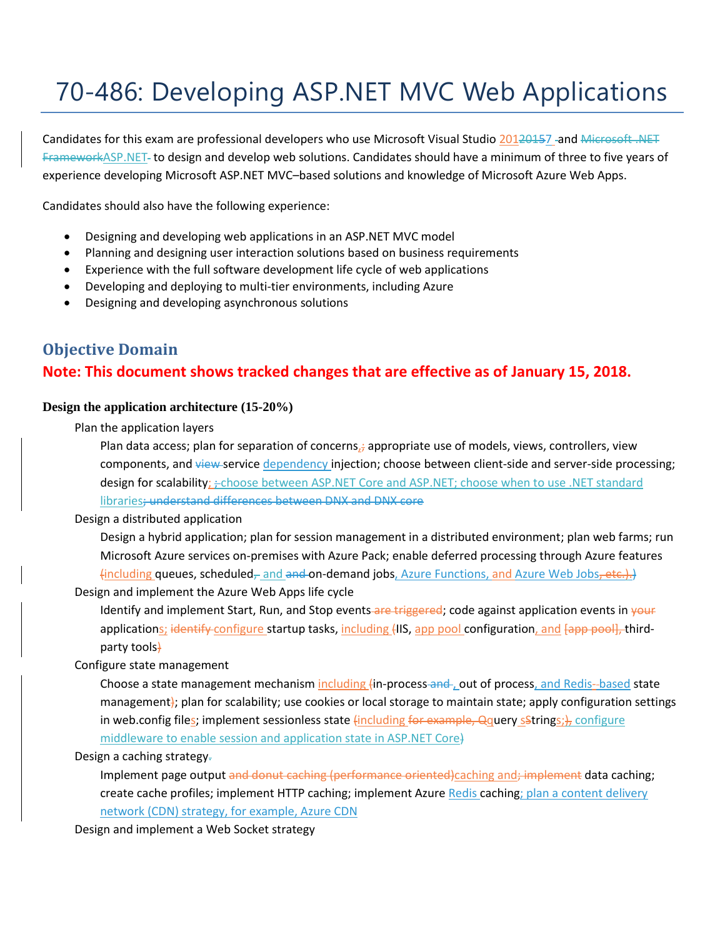# 70-486: Developing ASP.NET MVC Web Applications

Candidates for this exam are professional developers who use Microsoft Visual Studio 20120157 -and Microsoft .NET FrameworkASP.NET to design and develop web solutions. Candidates should have a minimum of three to five years of experience developing Microsoft ASP.NET MVC–based solutions and knowledge of Microsoft Azure Web Apps.

Candidates should also have the following experience:

- Designing and developing web applications in an ASP.NET MVC model
- Planning and designing user interaction solutions based on business requirements
- Experience with the full software development life cycle of web applications
- Developing and deploying to multi-tier environments, including Azure
- Designing and developing asynchronous solutions

# **Objective Domain Note: This document shows tracked changes that are effective as of January 15, 2018.**

# **Design the application architecture (15-20%)**

Plan the application layers

Plan data access; plan for separation of concerns, $\frac{1}{l}$  appropriate use of models, views, controllers, view components, and view service dependency injection; choose between client-side and server-side processing; design for scalability; :- choose between ASP.NET Core and ASP.NET; choose when to use .NET standard libraries; understand differences between DNX and DNX core

# Design a distributed application

Design a hybrid application; plan for session management in a distributed environment; plan web farms; run Microsoft Azure services on-premises with Azure Pack; enable deferred processing through Azure features  $\{including queues, scheduled<sub>τ</sub> and and **and-on-demand jobs**, Azure Functions, and Azure Web Jobs,  $\text{etc.}$ .$ 

Design and implement the Azure Web Apps life cycle

Identify and implement Start, Run, and Stop events are triggered; code against application events in your applications; identify configure startup tasks, including (IIS, app pool configuration, and [app pool], thirdparty tools)

# Configure state management

Choose a state management mechanism including (in-process-and-, out of process, and Redis--based state management); plan for scalability; use cookies or local storage to maintain state; apply configuration settings in web.config files; implement sessionless state  $\{\text{including } \{$ or example, Qquery sStrings; $\}$ , configure middleware to enable session and application state in ASP.NET Core)

# Design a caching strategy.

Implement page output and donut caching (performance oriented)caching and; implement data caching; create cache profiles; implement HTTP caching; implement Azure Redis caching; plan a content delivery network (CDN) strategy, for example, Azure CDN

Design and implement a Web Socket strategy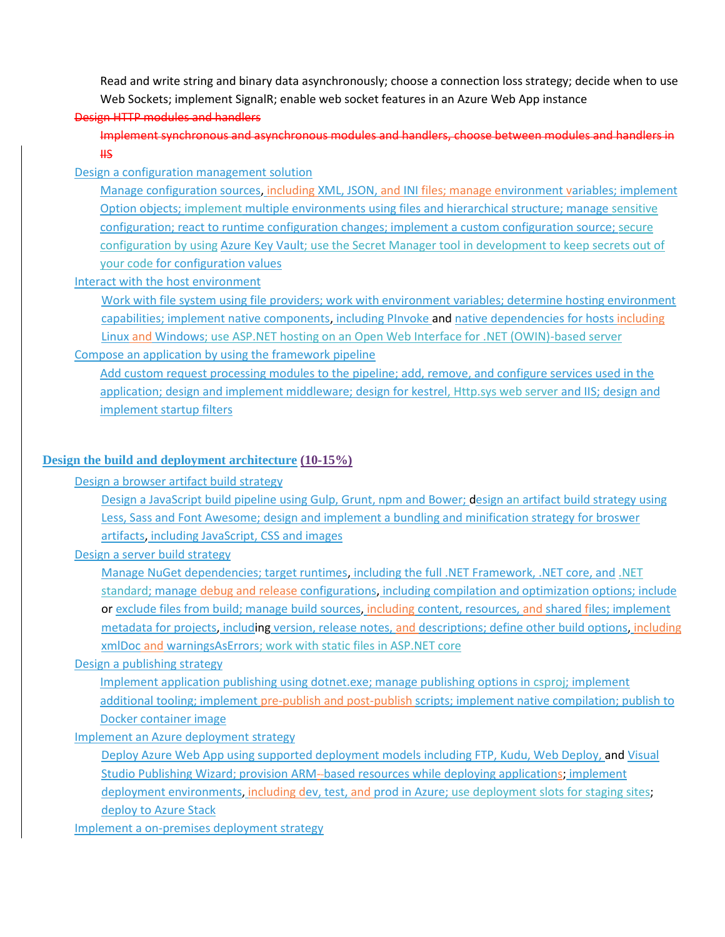Read and write string and binary data asynchronously; choose a connection loss strategy; decide when to use Web Sockets; implement SignalR; enable web socket features in an Azure Web App instance

# Design HTTP modules and handlers

Implement synchronous and asynchronous modules and handlers, choose between modules and handlers in  $\overline{415}$ 

#### Design a configuration management solution

Manage configuration sources, including XML, JSON, and INI files; manage environment variables; implement Option objects; implement multiple environments using files and hierarchical structure; manage sensitive configuration; react to runtime configuration changes; implement a custom configuration source; secure configuration by using Azure Key Vault; use the Secret Manager tool in development to keep secrets out of your code for configuration values

#### Interact with the host environment

Work with file system using file providers; work with environment variables; determine hosting environment capabilities; implement native components, including PInvoke and native dependencies for hosts including Linux and Windows; use ASP.NET hosting on an Open Web Interface for .NET (OWIN)-based server

# Compose an application by using the framework pipeline

Add custom request processing modules to the pipeline; add, remove, and configure services used in the application; design and implement middleware; design for kestrel, Http.sys web server and IIS; design and implement startup filters

## **Design the build and deployment architecture (10-15%)**

Design a browser artifact build strategy

Design a JavaScript build pipeline using Gulp, Grunt, npm and Bower; design an artifact build strategy using Less, Sass and Font Awesome; design and implement a bundling and minification strategy for broswer artifacts, including JavaScript, CSS and images

#### Design a server build strategy

Manage NuGet dependencies; target runtimes, including the full .NET Framework, .NET core, and .NET standard; manage debug and release configurations, including compilation and optimization options; include or exclude files from build; manage build sources, including content, resources, and shared files; implement metadata for projects, including version, release notes, and descriptions; define other build options, including xmlDoc and warningsAsErrors; work with static files in ASP.NET core

#### Design a publishing strategy

Implement application publishing using dotnet.exe; manage publishing options in csproj; implement additional tooling; implement pre-publish and post-publish scripts; implement native compilation; publish to Docker container image

#### Implement an Azure deployment strategy

Deploy Azure Web App using supported deployment models including FTP, Kudu, Web Deploy, and Visual Studio Publishing Wizard; provision ARM- based resources while deploying applications; implement deployment environments, including dev, test, and prod in Azure; use deployment slots for staging sites; deploy to Azure Stack

Implement a on-premises deployment strategy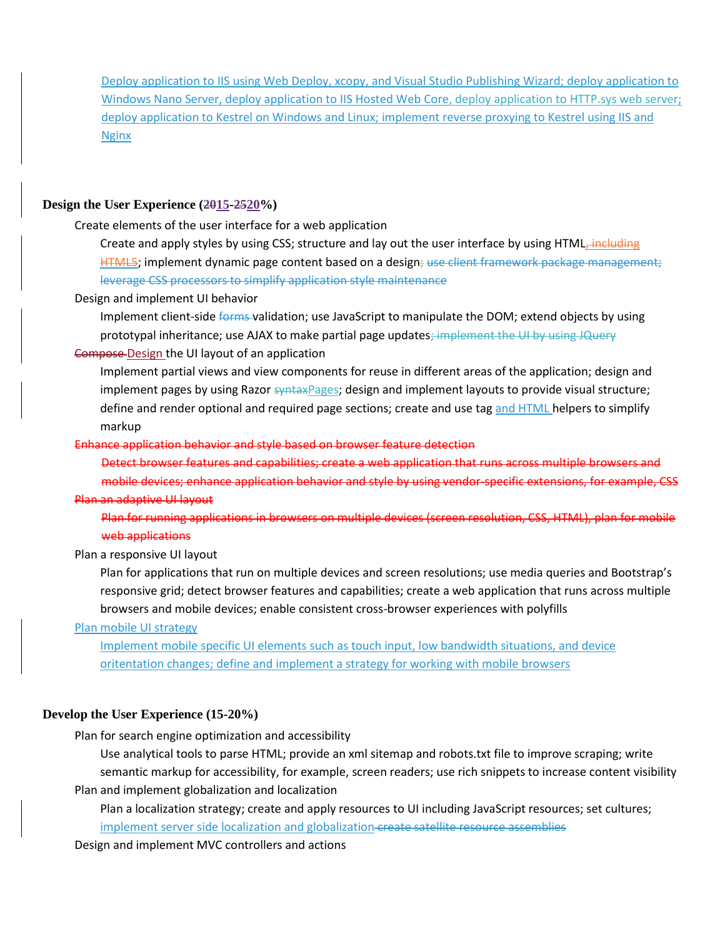Deploy application to IIS using Web Deploy, xcopy, and Visual Studio Publishing Wizard; deploy application to Windows Nano Server, deploy application to IIS Hosted Web Core, deploy application to HTTP.sys web server; deploy application to Kestrel on Windows and Linux; implement reverse proxying to Kestrel using IIS and Nginx

## **Design the User Experience (2015-2520%)**

Create elements of the user interface for a web application

Create and apply styles by using CSS; structure and lay out the user interface by using HTML, including HTML5; implement dynamic page content based on a design; use client framework package management; leverage CSS processors to simplify application style maintenance

Design and implement UI behavior

Implement client-side forms-validation; use JavaScript to manipulate the DOM; extend objects by using prototypal inheritance; use AJAX to make partial page updates; implement the UI by using JQuery

### Compose Design the UI layout of an application

Implement partial views and view components for reuse in different areas of the application; design and implement pages by using Razor syntaxPages; design and implement layouts to provide visual structure; define and render optional and required page sections; create and use tag and HTML helpers to simplify markup

#### Enhance application behavior and style based on browser feature detection

Detect browser features and capabilities; create a web application that runs across multiple browsers and mobile devices; enhance application behavior and style by using vendor-specific extensions, for example, CSS Plan an adaptive UI layout

Plan for running applications in browsers on multiple devices (screen resolution, CSS, HTML), plan for mobile web applications

Plan a responsive UI layout

Plan for applications that run on multiple devices and screen resolutions; use media queries and Bootstrap's responsive grid; detect browser features and capabilities; create a web application that runs across multiple browsers and mobile devices; enable consistent cross-browser experiences with polyfills

#### Plan mobile UI strategy

Implement mobile specific UI elements such as touch input, low bandwidth situations, and device oritentation changes; define and implement a strategy for working with mobile browsers

#### **Develop the User Experience (15-20%)**

Plan for search engine optimization and accessibility

Use analytical tools to parse HTML; provide an xml sitemap and robots.txt file to improve scraping; write semantic markup for accessibility, for example, screen readers; use rich snippets to increase content visibility Plan and implement globalization and localization

Plan a localization strategy; create and apply resources to UI including JavaScript resources; set cultures; implement server side localization and globalization create satellite resource assemblies

Design and implement MVC controllers and actions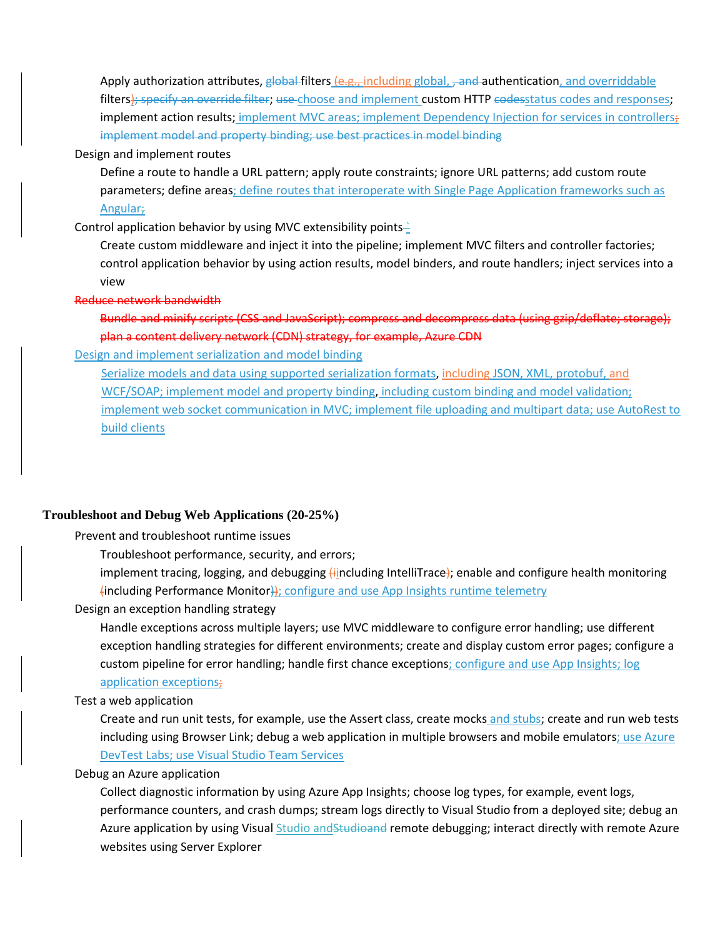Apply authorization attributes, global filters (e.g., including global, , and authentication, and overriddable filters); specify an override filter; use choose and implement custom HTTP codesstatus codes and responses; implement action results; implement MVC areas; implement Dependency Injection for services in controllers; implement model and property binding; use best practices in model binding

#### Design and implement routes

Define a route to handle a URL pattern; apply route constraints; ignore URL patterns; add custom route parameters; define areas; define routes that interoperate with Single Page Application frameworks such as Angular;

Control application behavior by using MVC extensibility points $\frac{1}{2}$ 

Create custom middleware and inject it into the pipeline; implement MVC filters and controller factories; control application behavior by using action results, model binders, and route handlers; inject services into a view

#### Reduce network bandwidth

Bundle and minify scripts (CSS and JavaScript); compress and decompress data (using gzip/deflate; storage); plan a content delivery network (CDN) strategy, for example, Azure CDN

#### Design and implement serialization and model binding

Serialize models and data using supported serialization formats, including JSON, XML, protobuf, and WCF/SOAP; implement model and property binding, including custom binding and model validation; implement web socket communication in MVC; implement file uploading and multipart data; use AutoRest to build clients

#### **Troubleshoot and Debug Web Applications (20-25%)**

Prevent and troubleshoot runtime issues

Troubleshoot performance, security, and errors;

implement tracing, logging, and debugging (iincluding IntelliTrace); enable and configure health monitoring (including Performance Monitor)); configure and use App Insights runtime telemetry

Design an exception handling strategy

Handle exceptions across multiple layers; use MVC middleware to configure error handling; use different exception handling strategies for different environments; create and display custom error pages; configure a custom pipeline for error handling; handle first chance exceptions; configure and use App Insights; log application exceptions;

#### Test a web application

Create and run unit tests, for example, use the Assert class, create mocks and stubs; create and run web tests including using Browser Link; debug a web application in multiple browsers and mobile emulators; use Azure DevTest Labs; use Visual Studio Team Services

#### Debug an Azure application

Collect diagnostic information by using Azure App Insights; choose log types, for example, event logs, performance counters, and crash dumps; stream logs directly to Visual Studio from a deployed site; debug an Azure application by using Visual Studio and Studioand remote debugging; interact directly with remote Azure websites using Server Explorer